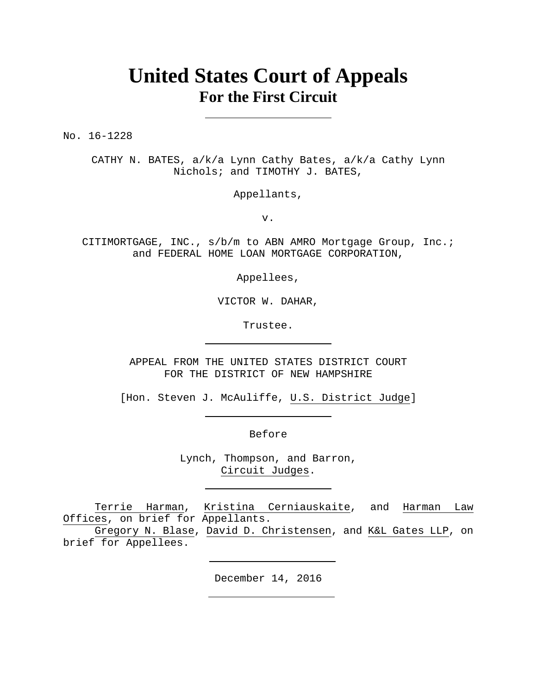# **United States Court of Appeals For the First Circuit**

No. 16-1228

CATHY N. BATES, a/k/a Lynn Cathy Bates, a/k/a Cathy Lynn Nichols; and TIMOTHY J. BATES,

Appellants,

v.

CITIMORTGAGE, INC., s/b/m to ABN AMRO Mortgage Group, Inc.; and FEDERAL HOME LOAN MORTGAGE CORPORATION,

Appellees,

VICTOR W. DAHAR,

Trustee.

APPEAL FROM THE UNITED STATES DISTRICT COURT FOR THE DISTRICT OF NEW HAMPSHIRE

[Hon. Steven J. McAuliffe, U.S. District Judge]

Before

Lynch, Thompson, and Barron, Circuit Judges.

Terrie Harman, Kristina Cerniauskaite, and Harman Law Offices, on brief for Appellants.

Gregory N. Blase, David D. Christensen, and K&L Gates LLP, on brief for Appellees.

December 14, 2016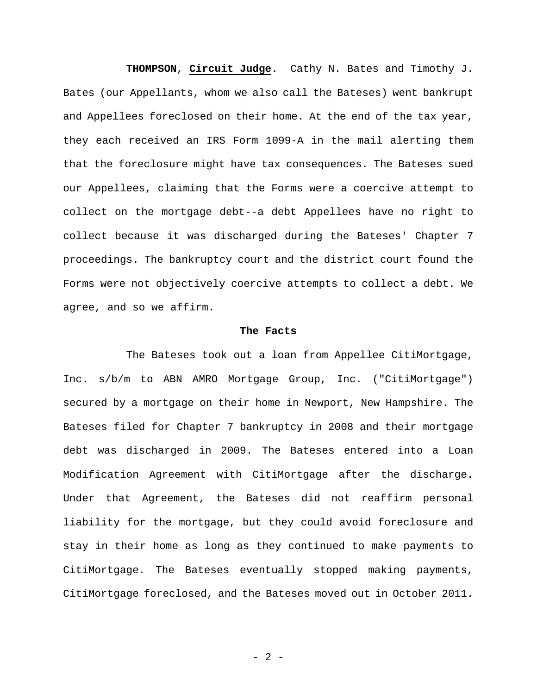**THOMPSON**, **Circuit Judge**. Cathy N. Bates and Timothy J. Bates (our Appellants, whom we also call the Bateses) went bankrupt and Appellees foreclosed on their home. At the end of the tax year, they each received an IRS Form 1099-A in the mail alerting them that the foreclosure might have tax consequences. The Bateses sued our Appellees, claiming that the Forms were a coercive attempt to collect on the mortgage debt--a debt Appellees have no right to collect because it was discharged during the Bateses' Chapter 7 proceedings. The bankruptcy court and the district court found the Forms were not objectively coercive attempts to collect a debt. We agree, and so we affirm.

#### **The Facts**

The Bateses took out a loan from Appellee CitiMortgage, Inc. s/b/m to ABN AMRO Mortgage Group, Inc. ("CitiMortgage") secured by a mortgage on their home in Newport, New Hampshire. The Bateses filed for Chapter 7 bankruptcy in 2008 and their mortgage debt was discharged in 2009. The Bateses entered into a Loan Modification Agreement with CitiMortgage after the discharge. Under that Agreement, the Bateses did not reaffirm personal liability for the mortgage, but they could avoid foreclosure and stay in their home as long as they continued to make payments to CitiMortgage. The Bateses eventually stopped making payments, CitiMortgage foreclosed, and the Bateses moved out in October 2011.

- 2 -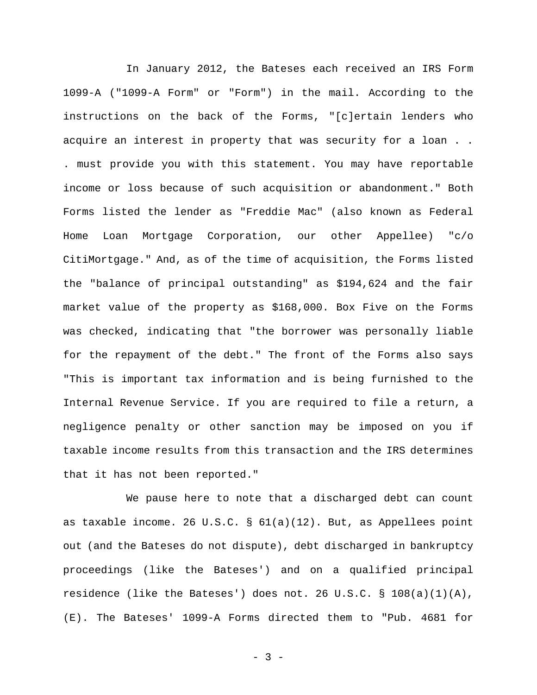In January 2012, the Bateses each received an IRS Form 1099-A ("1099-A Form" or "Form") in the mail. According to the instructions on the back of the Forms, "[c]ertain lenders who acquire an interest in property that was security for a loan . . . must provide you with this statement. You may have reportable income or loss because of such acquisition or abandonment." Both Forms listed the lender as "Freddie Mac" (also known as Federal Home Loan Mortgage Corporation, our other Appellee) "c/o CitiMortgage." And, as of the time of acquisition, the Forms listed the "balance of principal outstanding" as \$194,624 and the fair market value of the property as \$168,000. Box Five on the Forms was checked, indicating that "the borrower was personally liable for the repayment of the debt." The front of the Forms also says "This is important tax information and is being furnished to the Internal Revenue Service. If you are required to file a return, a negligence penalty or other sanction may be imposed on you if taxable income results from this transaction and the IRS determines that it has not been reported."

We pause here to note that a discharged debt can count as taxable income. 26 U.S.C. § 61(a)(12). But, as Appellees point out (and the Bateses do not dispute), debt discharged in bankruptcy proceedings (like the Bateses') and on a qualified principal residence (like the Bateses') does not. 26 U.S.C. § 108(a)(1)(A), (E). The Bateses' 1099-A Forms directed them to "Pub. 4681 for

- 3 -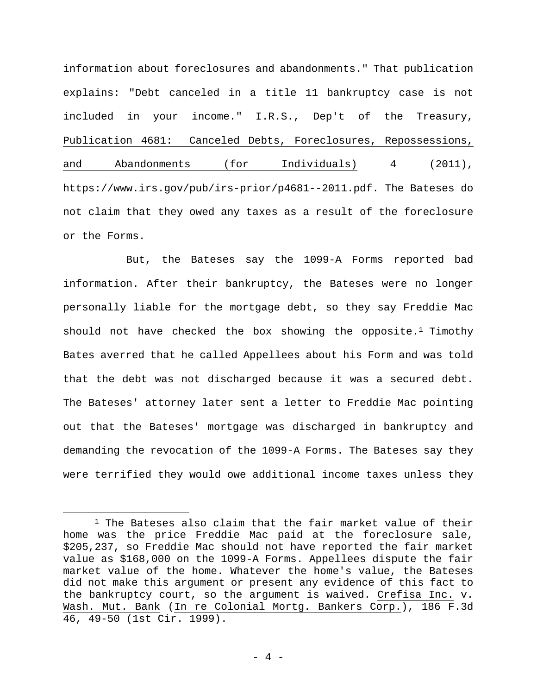information about foreclosures and abandonments." That publication explains: "Debt canceled in a title 11 bankruptcy case is not included in your income." I.R.S., Dep't of the Treasury, Publication 4681: Canceled Debts, Foreclosures, Repossessions, and Abandonments (for Individuals) 4 (2011), https://www.irs.gov/pub/irs-prior/p4681--2011.pdf. The Bateses do not claim that they owed any taxes as a result of the foreclosure or the Forms.

But, the Bateses say the 1099-A Forms reported bad information. After their bankruptcy, the Bateses were no longer personally liable for the mortgage debt, so they say Freddie Mac should not have checked the box showing the opposite.<sup>1</sup> Timothy Bates averred that he called Appellees about his Form and was told that the debt was not discharged because it was a secured debt. The Bateses' attorney later sent a letter to Freddie Mac pointing out that the Bateses' mortgage was discharged in bankruptcy and demanding the revocation of the 1099-A Forms. The Bateses say they were terrified they would owe additional income taxes unless they

 $1$  The Bateses also claim that the fair market value of their home was the price Freddie Mac paid at the foreclosure sale, \$205,237, so Freddie Mac should not have reported the fair market value as \$168,000 on the 1099-A Forms. Appellees dispute the fair market value of the home. Whatever the home's value, the Bateses did not make this argument or present any evidence of this fact to the bankruptcy court, so the argument is waived. Crefisa Inc. v. Wash. Mut. Bank (In re Colonial Mortg. Bankers Corp.), 186 F.3d 46, 49-50 (1st Cir. 1999).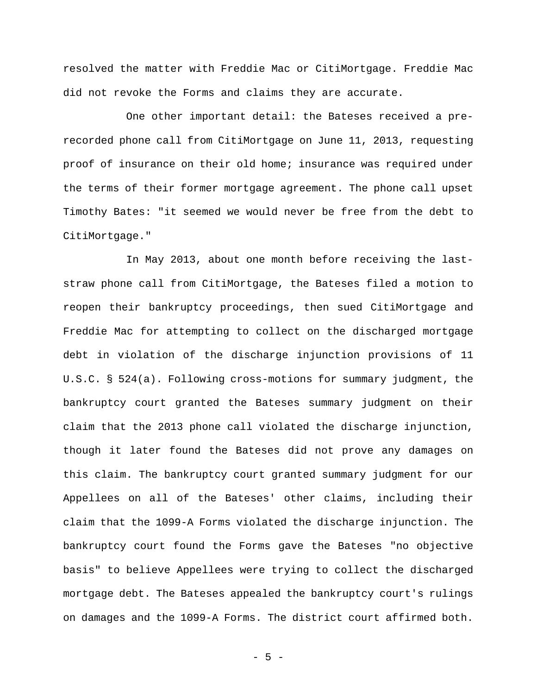resolved the matter with Freddie Mac or CitiMortgage. Freddie Mac did not revoke the Forms and claims they are accurate.

One other important detail: the Bateses received a prerecorded phone call from CitiMortgage on June 11, 2013, requesting proof of insurance on their old home; insurance was required under the terms of their former mortgage agreement. The phone call upset Timothy Bates: "it seemed we would never be free from the debt to CitiMortgage."

In May 2013, about one month before receiving the laststraw phone call from CitiMortgage, the Bateses filed a motion to reopen their bankruptcy proceedings, then sued CitiMortgage and Freddie Mac for attempting to collect on the discharged mortgage debt in violation of the discharge injunction provisions of 11 U.S.C. § 524(a). Following cross-motions for summary judgment, the bankruptcy court granted the Bateses summary judgment on their claim that the 2013 phone call violated the discharge injunction, though it later found the Bateses did not prove any damages on this claim. The bankruptcy court granted summary judgment for our Appellees on all of the Bateses' other claims, including their claim that the 1099-A Forms violated the discharge injunction. The bankruptcy court found the Forms gave the Bateses "no objective basis" to believe Appellees were trying to collect the discharged mortgage debt. The Bateses appealed the bankruptcy court's rulings on damages and the 1099-A Forms. The district court affirmed both.

- 5 -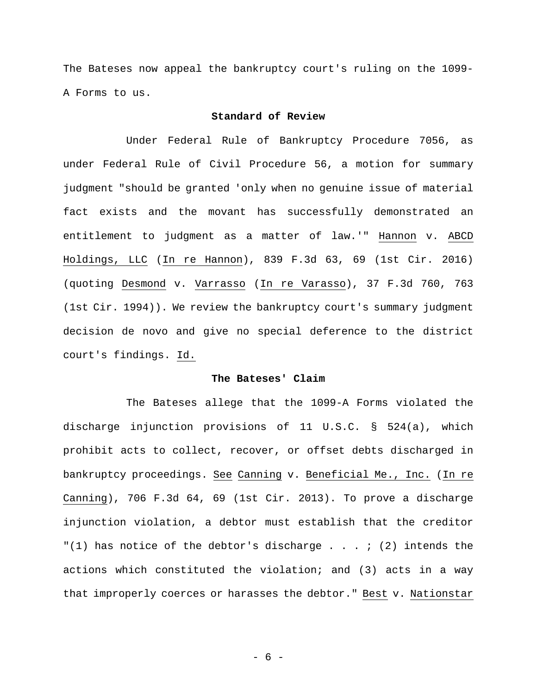The Bateses now appeal the bankruptcy court's ruling on the 1099- A Forms to us.

## **Standard of Review**

Under Federal Rule of Bankruptcy Procedure 7056, as under Federal Rule of Civil Procedure 56, a motion for summary judgment "should be granted 'only when no genuine issue of material fact exists and the movant has successfully demonstrated an entitlement to judgment as a matter of law.'" Hannon v. ABCD Holdings, LLC (In re Hannon), 839 F.3d 63, 69 (1st Cir. 2016) (quoting Desmond v. Varrasso (In re Varasso), 37 F.3d 760, 763 (1st Cir. 1994)). We review the bankruptcy court's summary judgment decision de novo and give no special deference to the district court's findings. Id.

### **The Bateses' Claim**

The Bateses allege that the 1099-A Forms violated the discharge injunction provisions of 11 U.S.C. § 524(a), which prohibit acts to collect, recover, or offset debts discharged in bankruptcy proceedings. See Canning v. Beneficial Me., Inc. (In re Canning), 706 F.3d 64, 69 (1st Cir. 2013). To prove a discharge injunction violation, a debtor must establish that the creditor "(1) has notice of the debtor's discharge  $\ldots$  ; (2) intends the actions which constituted the violation; and (3) acts in a way that improperly coerces or harasses the debtor." Best v. Nationstar

- 6 -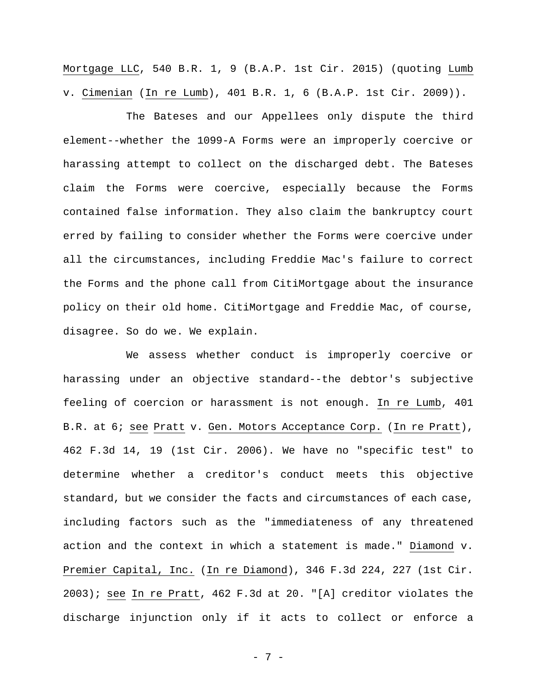Mortgage LLC, 540 B.R. 1, 9 (B.A.P. 1st Cir. 2015) (quoting Lumb v. Cimenian (In re Lumb), 401 B.R. 1, 6 (B.A.P. 1st Cir. 2009)).

The Bateses and our Appellees only dispute the third element--whether the 1099-A Forms were an improperly coercive or harassing attempt to collect on the discharged debt. The Bateses claim the Forms were coercive, especially because the Forms contained false information. They also claim the bankruptcy court erred by failing to consider whether the Forms were coercive under all the circumstances, including Freddie Mac's failure to correct the Forms and the phone call from CitiMortgage about the insurance policy on their old home. CitiMortgage and Freddie Mac, of course, disagree. So do we. We explain.

We assess whether conduct is improperly coercive or harassing under an objective standard--the debtor's subjective feeling of coercion or harassment is not enough. In re Lumb, 401 B.R. at 6; see Pratt v. Gen. Motors Acceptance Corp. (In re Pratt), 462 F.3d 14, 19 (1st Cir. 2006). We have no "specific test" to determine whether a creditor's conduct meets this objective standard, but we consider the facts and circumstances of each case, including factors such as the "immediateness of any threatened action and the context in which a statement is made." Diamond v. Premier Capital, Inc. (In re Diamond), 346 F.3d 224, 227 (1st Cir. 2003); see In re Pratt, 462 F.3d at 20. "[A] creditor violates the discharge injunction only if it acts to collect or enforce a

- 7 -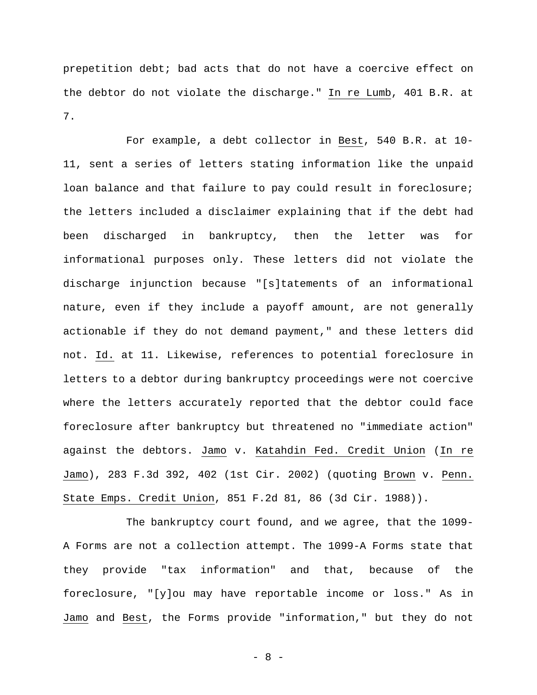prepetition debt; bad acts that do not have a coercive effect on the debtor do not violate the discharge." In re Lumb, 401 B.R. at 7.

For example, a debt collector in Best, 540 B.R. at 10- 11, sent a series of letters stating information like the unpaid loan balance and that failure to pay could result in foreclosure; the letters included a disclaimer explaining that if the debt had been discharged in bankruptcy, then the letter was for informational purposes only. These letters did not violate the discharge injunction because "[s]tatements of an informational nature, even if they include a payoff amount, are not generally actionable if they do not demand payment," and these letters did not. Id. at 11. Likewise, references to potential foreclosure in letters to a debtor during bankruptcy proceedings were not coercive where the letters accurately reported that the debtor could face foreclosure after bankruptcy but threatened no "immediate action" against the debtors. Jamo v. Katahdin Fed. Credit Union (In re Jamo), 283 F.3d 392, 402 (1st Cir. 2002) (quoting Brown v. Penn. State Emps. Credit Union, 851 F.2d 81, 86 (3d Cir. 1988)).

The bankruptcy court found, and we agree, that the 1099- A Forms are not a collection attempt. The 1099-A Forms state that they provide "tax information" and that, because of the foreclosure, "[y]ou may have reportable income or loss." As in Jamo and Best, the Forms provide "information," but they do not

- 8 -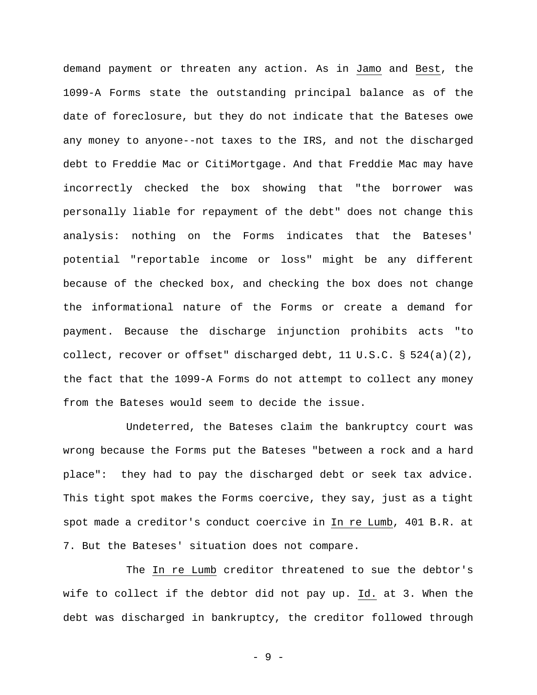demand payment or threaten any action. As in Jamo and Best, the 1099-A Forms state the outstanding principal balance as of the date of foreclosure, but they do not indicate that the Bateses owe any money to anyone--not taxes to the IRS, and not the discharged debt to Freddie Mac or CitiMortgage. And that Freddie Mac may have incorrectly checked the box showing that "the borrower was personally liable for repayment of the debt" does not change this analysis: nothing on the Forms indicates that the Bateses' potential "reportable income or loss" might be any different because of the checked box, and checking the box does not change the informational nature of the Forms or create a demand for payment. Because the discharge injunction prohibits acts "to collect, recover or offset" discharged debt, 11 U.S.C. § 524(a)(2), the fact that the 1099-A Forms do not attempt to collect any money from the Bateses would seem to decide the issue.

Undeterred, the Bateses claim the bankruptcy court was wrong because the Forms put the Bateses "between a rock and a hard place": they had to pay the discharged debt or seek tax advice. This tight spot makes the Forms coercive, they say, just as a tight spot made a creditor's conduct coercive in In re Lumb, 401 B.R. at 7. But the Bateses' situation does not compare.

The In re Lumb creditor threatened to sue the debtor's wife to collect if the debtor did not pay up. Id. at 3. When the debt was discharged in bankruptcy, the creditor followed through

- 9 -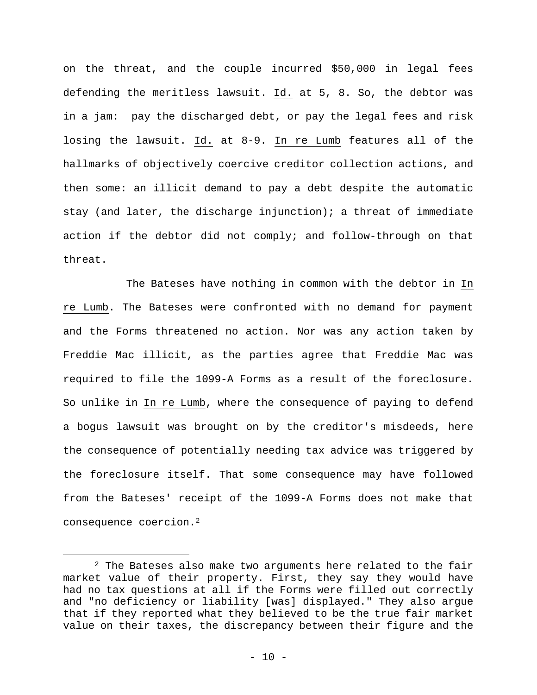on the threat, and the couple incurred \$50,000 in legal fees defending the meritless lawsuit. Id. at 5, 8. So, the debtor was in a jam: pay the discharged debt, or pay the legal fees and risk losing the lawsuit. Id. at 8-9. In re Lumb features all of the hallmarks of objectively coercive creditor collection actions, and then some: an illicit demand to pay a debt despite the automatic stay (and later, the discharge injunction); a threat of immediate action if the debtor did not comply; and follow-through on that threat.

The Bateses have nothing in common with the debtor in In re Lumb. The Bateses were confronted with no demand for payment and the Forms threatened no action. Nor was any action taken by Freddie Mac illicit, as the parties agree that Freddie Mac was required to file the 1099-A Forms as a result of the foreclosure. So unlike in In re Lumb, where the consequence of paying to defend a bogus lawsuit was brought on by the creditor's misdeeds, here the consequence of potentially needing tax advice was triggered by the foreclosure itself. That some consequence may have followed from the Bateses' receipt of the 1099-A Forms does not make that consequence coercion.2

 $2$  The Bateses also make two arguments here related to the fair market value of their property. First, they say they would have had no tax questions at all if the Forms were filled out correctly and "no deficiency or liability [was] displayed." They also argue that if they reported what they believed to be the true fair market value on their taxes, the discrepancy between their figure and the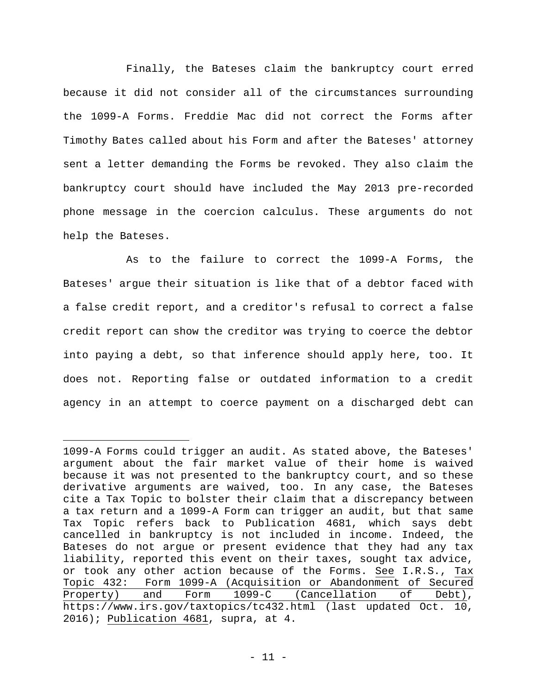Finally, the Bateses claim the bankruptcy court erred because it did not consider all of the circumstances surrounding the 1099-A Forms. Freddie Mac did not correct the Forms after Timothy Bates called about his Form and after the Bateses' attorney sent a letter demanding the Forms be revoked. They also claim the bankruptcy court should have included the May 2013 pre-recorded phone message in the coercion calculus. These arguments do not help the Bateses.

As to the failure to correct the 1099-A Forms, the Bateses' argue their situation is like that of a debtor faced with a false credit report, and a creditor's refusal to correct a false credit report can show the creditor was trying to coerce the debtor into paying a debt, so that inference should apply here, too. It does not. Reporting false or outdated information to a credit agency in an attempt to coerce payment on a discharged debt can

i

<sup>1099-</sup>A Forms could trigger an audit. As stated above, the Bateses' argument about the fair market value of their home is waived because it was not presented to the bankruptcy court, and so these derivative arguments are waived, too. In any case, the Bateses cite a Tax Topic to bolster their claim that a discrepancy between a tax return and a 1099-A Form can trigger an audit, but that same Tax Topic refers back to Publication 4681, which says debt cancelled in bankruptcy is not included in income. Indeed, the Bateses do not argue or present evidence that they had any tax liability, reported this event on their taxes, sought tax advice, or took any other action because of the Forms. See I.R.S., Tax Topic 432: Form 1099-A (Acquisition or Abandonment of Secured Property) and Form 1099-C (Cancellation of Debt), https://www.irs.gov/taxtopics/tc432.html (last updated Oct. 10, 2016); Publication 4681, supra, at 4.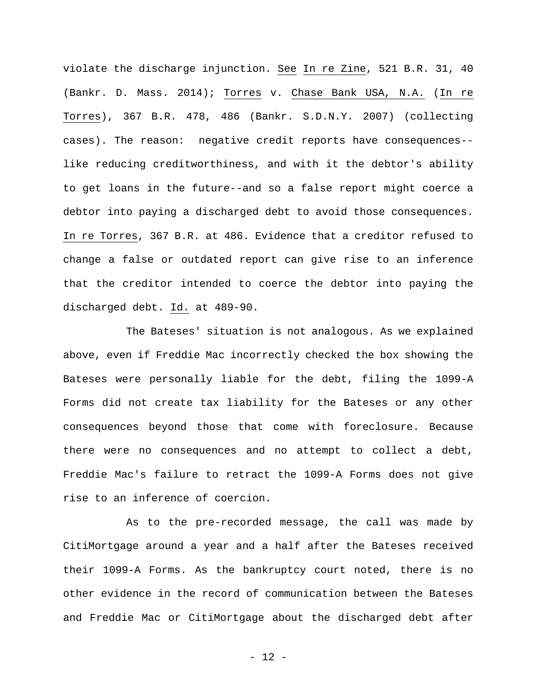violate the discharge injunction. See In re Zine, 521 B.R. 31, 40 (Bankr. D. Mass. 2014); Torres v. Chase Bank USA, N.A. (In re Torres), 367 B.R. 478, 486 (Bankr. S.D.N.Y. 2007) (collecting cases). The reason: negative credit reports have consequences- like reducing creditworthiness, and with it the debtor's ability to get loans in the future--and so a false report might coerce a debtor into paying a discharged debt to avoid those consequences. In re Torres, 367 B.R. at 486. Evidence that a creditor refused to change a false or outdated report can give rise to an inference that the creditor intended to coerce the debtor into paying the discharged debt. Id. at 489-90.

The Bateses' situation is not analogous. As we explained above, even if Freddie Mac incorrectly checked the box showing the Bateses were personally liable for the debt, filing the 1099-A Forms did not create tax liability for the Bateses or any other consequences beyond those that come with foreclosure. Because there were no consequences and no attempt to collect a debt, Freddie Mac's failure to retract the 1099-A Forms does not give rise to an inference of coercion.

As to the pre-recorded message, the call was made by CitiMortgage around a year and a half after the Bateses received their 1099-A Forms. As the bankruptcy court noted, there is no other evidence in the record of communication between the Bateses and Freddie Mac or CitiMortgage about the discharged debt after

- 12 -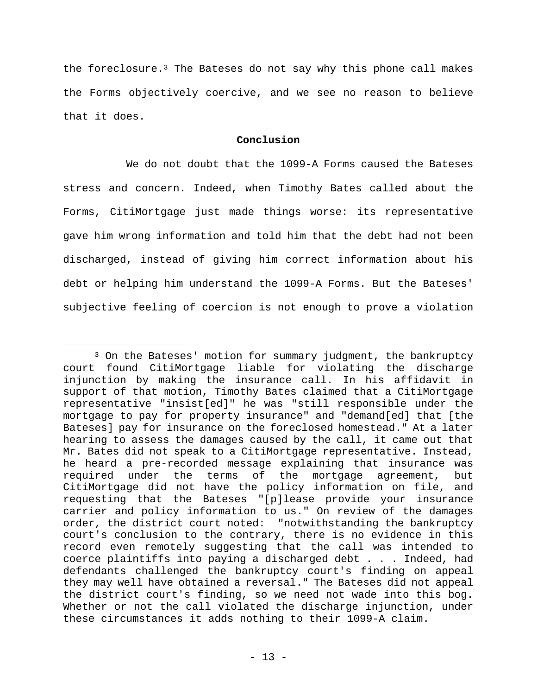the foreclosure. $3$  The Bateses do not say why this phone call makes the Forms objectively coercive, and we see no reason to believe that it does.

## **Conclusion**

 We do not doubt that the 1099-A Forms caused the Bateses stress and concern. Indeed, when Timothy Bates called about the Forms, CitiMortgage just made things worse: its representative gave him wrong information and told him that the debt had not been discharged, instead of giving him correct information about his debt or helping him understand the 1099-A Forms. But the Bateses' subjective feeling of coercion is not enough to prove a violation

<sup>&</sup>lt;sup>3</sup> On the Bateses' motion for summary judgment, the bankruptcy court found CitiMortgage liable for violating the discharge injunction by making the insurance call. In his affidavit in support of that motion, Timothy Bates claimed that a CitiMortgage representative "insist[ed]" he was "still responsible under the mortgage to pay for property insurance" and "demand[ed] that [the Bateses] pay for insurance on the foreclosed homestead." At a later hearing to assess the damages caused by the call, it came out that Mr. Bates did not speak to a CitiMortgage representative. Instead, he heard a pre-recorded message explaining that insurance was required under the terms of the mortgage agreement, but CitiMortgage did not have the policy information on file, and requesting that the Bateses "[p]lease provide your insurance carrier and policy information to us." On review of the damages order, the district court noted: "notwithstanding the bankruptcy court's conclusion to the contrary, there is no evidence in this record even remotely suggesting that the call was intended to coerce plaintiffs into paying a discharged debt . . . Indeed, had defendants challenged the bankruptcy court's finding on appeal they may well have obtained a reversal." The Bateses did not appeal the district court's finding, so we need not wade into this bog. Whether or not the call violated the discharge injunction, under these circumstances it adds nothing to their 1099-A claim.